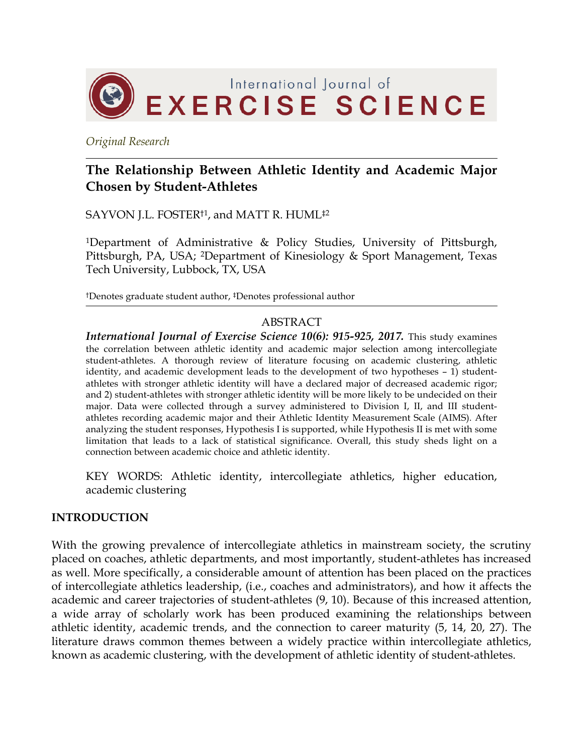

*Original Research*

# **The Relationship Between Athletic Identity and Academic Major Chosen by Student-Athletes**

SAYVON J.L. FOSTER†1, and MATT R. HUML‡2

<sup>1</sup>Department of Administrative & Policy Studies, University of Pittsburgh, Pittsburgh, PA, USA; 2Department of Kinesiology & Sport Management, Texas Tech University, Lubbock, TX, USA

†Denotes graduate student author, ‡Denotes professional author

### ABSTRACT

*International Journal of Exercise Science 10(6): 915-925, 2017.* This study examines the correlation between athletic identity and academic major selection among intercollegiate student-athletes. A thorough review of literature focusing on academic clustering, athletic identity, and academic development leads to the development of two hypotheses – 1) studentathletes with stronger athletic identity will have a declared major of decreased academic rigor; and 2) student-athletes with stronger athletic identity will be more likely to be undecided on their major. Data were collected through a survey administered to Division I, II, and III studentathletes recording academic major and their Athletic Identity Measurement Scale (AIMS). After analyzing the student responses, Hypothesis I is supported, while Hypothesis II is met with some limitation that leads to a lack of statistical significance. Overall, this study sheds light on a connection between academic choice and athletic identity.

KEY WORDS: Athletic identity, intercollegiate athletics, higher education, academic clustering

# **INTRODUCTION**

With the growing prevalence of intercollegiate athletics in mainstream society, the scrutiny placed on coaches, athletic departments, and most importantly, student-athletes has increased as well. More specifically, a considerable amount of attention has been placed on the practices of intercollegiate athletics leadership, (i.e., coaches and administrators), and how it affects the academic and career trajectories of student-athletes (9, 10). Because of this increased attention, a wide array of scholarly work has been produced examining the relationships between athletic identity, academic trends, and the connection to career maturity (5, 14, 20, 27). The literature draws common themes between a widely practice within intercollegiate athletics, known as academic clustering, with the development of athletic identity of student-athletes.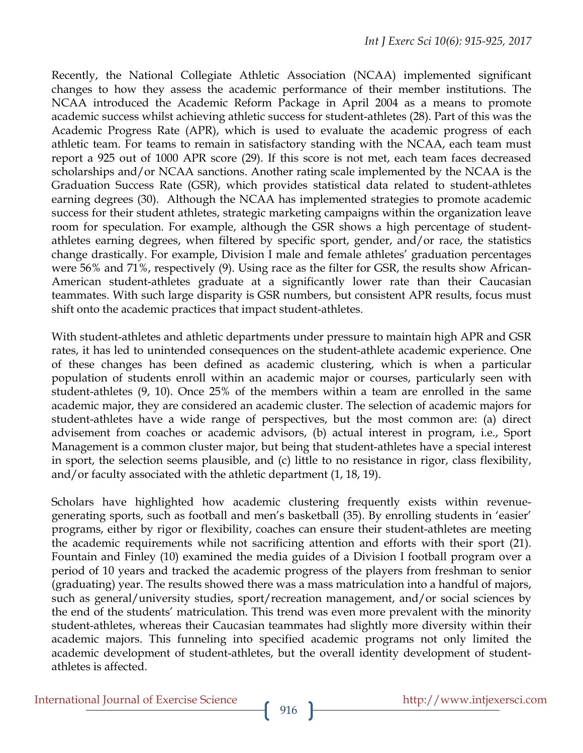Recently, the National Collegiate Athletic Association (NCAA) implemented significant changes to how they assess the academic performance of their member institutions. The NCAA introduced the Academic Reform Package in April 2004 as a means to promote academic success whilst achieving athletic success for student-athletes (28). Part of this was the Academic Progress Rate (APR), which is used to evaluate the academic progress of each athletic team. For teams to remain in satisfactory standing with the NCAA, each team must report a 925 out of 1000 APR score (29). If this score is not met, each team faces decreased scholarships and/or NCAA sanctions. Another rating scale implemented by the NCAA is the Graduation Success Rate (GSR), which provides statistical data related to student-athletes earning degrees (30). Although the NCAA has implemented strategies to promote academic success for their student athletes, strategic marketing campaigns within the organization leave room for speculation. For example, although the GSR shows a high percentage of studentathletes earning degrees, when filtered by specific sport, gender, and/or race, the statistics change drastically. For example, Division I male and female athletes' graduation percentages were 56% and 71%, respectively (9). Using race as the filter for GSR, the results show African-American student-athletes graduate at a significantly lower rate than their Caucasian teammates. With such large disparity is GSR numbers, but consistent APR results, focus must shift onto the academic practices that impact student-athletes.

With student-athletes and athletic departments under pressure to maintain high APR and GSR rates, it has led to unintended consequences on the student-athlete academic experience. One of these changes has been defined as academic clustering, which is when a particular population of students enroll within an academic major or courses, particularly seen with student-athletes (9, 10). Once 25% of the members within a team are enrolled in the same academic major, they are considered an academic cluster. The selection of academic majors for student-athletes have a wide range of perspectives, but the most common are: (a) direct advisement from coaches or academic advisors, (b) actual interest in program, i.e., Sport Management is a common cluster major, but being that student-athletes have a special interest in sport, the selection seems plausible, and (c) little to no resistance in rigor, class flexibility, and/or faculty associated with the athletic department (1, 18, 19).

Scholars have highlighted how academic clustering frequently exists within revenuegenerating sports, such as football and men's basketball (35). By enrolling students in 'easier' programs, either by rigor or flexibility, coaches can ensure their student-athletes are meeting the academic requirements while not sacrificing attention and efforts with their sport (21). Fountain and Finley (10) examined the media guides of a Division I football program over a period of 10 years and tracked the academic progress of the players from freshman to senior (graduating) year. The results showed there was a mass matriculation into a handful of majors, such as general/university studies, sport/recreation management, and/or social sciences by the end of the students' matriculation. This trend was even more prevalent with the minority student-athletes, whereas their Caucasian teammates had slightly more diversity within their academic majors. This funneling into specified academic programs not only limited the academic development of student-athletes, but the overall identity development of studentathletes is affected.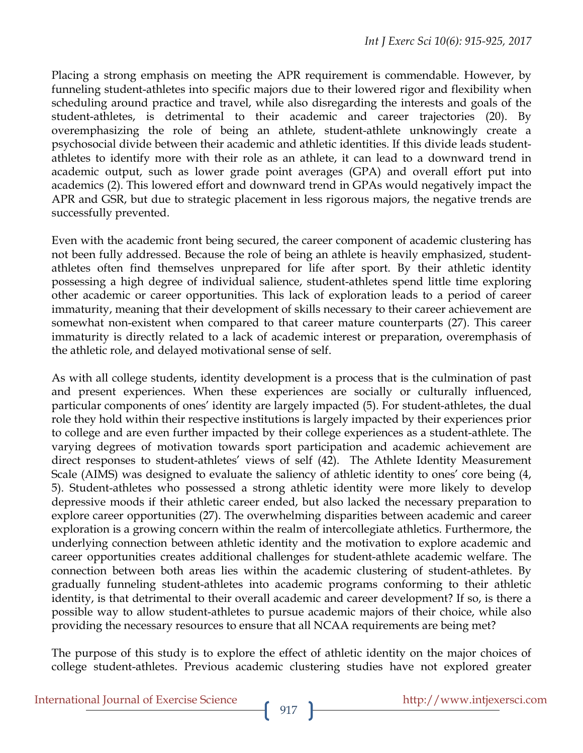Placing a strong emphasis on meeting the APR requirement is commendable. However, by funneling student-athletes into specific majors due to their lowered rigor and flexibility when scheduling around practice and travel, while also disregarding the interests and goals of the student-athletes, is detrimental to their academic and career trajectories (20). By overemphasizing the role of being an athlete, student-athlete unknowingly create a psychosocial divide between their academic and athletic identities. If this divide leads studentathletes to identify more with their role as an athlete, it can lead to a downward trend in academic output, such as lower grade point averages (GPA) and overall effort put into academics (2). This lowered effort and downward trend in GPAs would negatively impact the APR and GSR, but due to strategic placement in less rigorous majors, the negative trends are successfully prevented.

Even with the academic front being secured, the career component of academic clustering has not been fully addressed. Because the role of being an athlete is heavily emphasized, studentathletes often find themselves unprepared for life after sport. By their athletic identity possessing a high degree of individual salience, student-athletes spend little time exploring other academic or career opportunities. This lack of exploration leads to a period of career immaturity, meaning that their development of skills necessary to their career achievement are somewhat non-existent when compared to that career mature counterparts (27). This career immaturity is directly related to a lack of academic interest or preparation, overemphasis of the athletic role, and delayed motivational sense of self.

As with all college students, identity development is a process that is the culmination of past and present experiences. When these experiences are socially or culturally influenced, particular components of ones' identity are largely impacted (5). For student-athletes, the dual role they hold within their respective institutions is largely impacted by their experiences prior to college and are even further impacted by their college experiences as a student-athlete. The varying degrees of motivation towards sport participation and academic achievement are direct responses to student-athletes' views of self (42). The Athlete Identity Measurement Scale (AIMS) was designed to evaluate the saliency of athletic identity to ones' core being (4, 5). Student-athletes who possessed a strong athletic identity were more likely to develop depressive moods if their athletic career ended, but also lacked the necessary preparation to explore career opportunities (27). The overwhelming disparities between academic and career exploration is a growing concern within the realm of intercollegiate athletics. Furthermore, the underlying connection between athletic identity and the motivation to explore academic and career opportunities creates additional challenges for student-athlete academic welfare. The connection between both areas lies within the academic clustering of student-athletes. By gradually funneling student-athletes into academic programs conforming to their athletic identity, is that detrimental to their overall academic and career development? If so, is there a possible way to allow student-athletes to pursue academic majors of their choice, while also providing the necessary resources to ensure that all NCAA requirements are being met?

The purpose of this study is to explore the effect of athletic identity on the major choices of college student-athletes. Previous academic clustering studies have not explored greater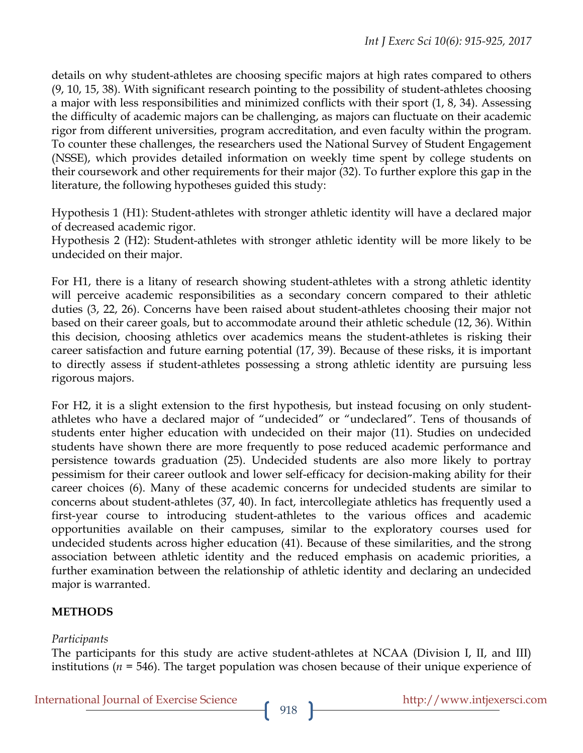details on why student-athletes are choosing specific majors at high rates compared to others (9, 10, 15, 38). With significant research pointing to the possibility of student-athletes choosing a major with less responsibilities and minimized conflicts with their sport (1, 8, 34). Assessing the difficulty of academic majors can be challenging, as majors can fluctuate on their academic rigor from different universities, program accreditation, and even faculty within the program. To counter these challenges, the researchers used the National Survey of Student Engagement (NSSE), which provides detailed information on weekly time spent by college students on their coursework and other requirements for their major (32). To further explore this gap in the literature, the following hypotheses guided this study:

Hypothesis 1 (H1): Student-athletes with stronger athletic identity will have a declared major of decreased academic rigor.

Hypothesis 2 (H2): Student-athletes with stronger athletic identity will be more likely to be undecided on their major.

For H1, there is a litany of research showing student-athletes with a strong athletic identity will perceive academic responsibilities as a secondary concern compared to their athletic duties (3, 22, 26). Concerns have been raised about student-athletes choosing their major not based on their career goals, but to accommodate around their athletic schedule (12, 36). Within this decision, choosing athletics over academics means the student-athletes is risking their career satisfaction and future earning potential (17, 39). Because of these risks, it is important to directly assess if student-athletes possessing a strong athletic identity are pursuing less rigorous majors.

For H2, it is a slight extension to the first hypothesis, but instead focusing on only studentathletes who have a declared major of "undecided" or "undeclared". Tens of thousands of students enter higher education with undecided on their major (11). Studies on undecided students have shown there are more frequently to pose reduced academic performance and persistence towards graduation (25). Undecided students are also more likely to portray pessimism for their career outlook and lower self-efficacy for decision-making ability for their career choices (6). Many of these academic concerns for undecided students are similar to concerns about student-athletes (37, 40). In fact, intercollegiate athletics has frequently used a first-year course to introducing student-athletes to the various offices and academic opportunities available on their campuses, similar to the exploratory courses used for undecided students across higher education (41). Because of these similarities, and the strong association between athletic identity and the reduced emphasis on academic priorities, a further examination between the relationship of athletic identity and declaring an undecided major is warranted.

# **METHODS**

# *Participants*

The participants for this study are active student-athletes at NCAA (Division I, II, and III) institutions (*n* = 546). The target population was chosen because of their unique experience of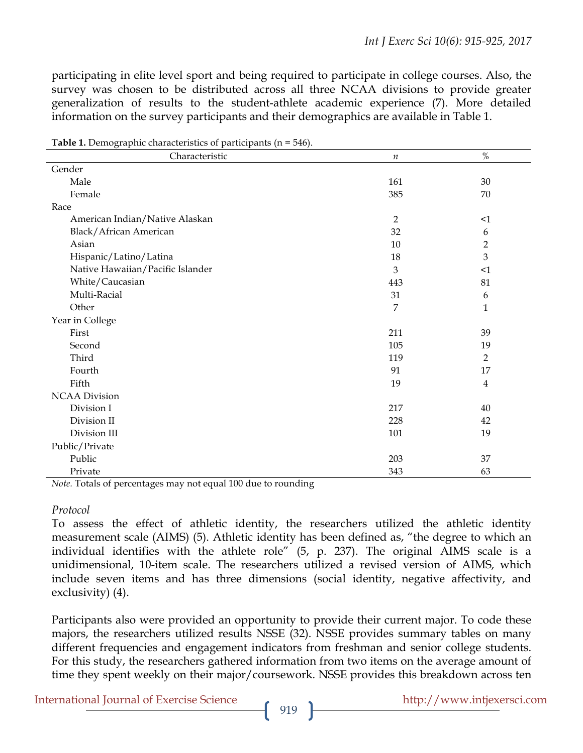participating in elite level sport and being required to participate in college courses. Also, the survey was chosen to be distributed across all three NCAA divisions to provide greater generalization of results to the student-athlete academic experience (7). More detailed information on the survey participants and their demographics are available in Table 1.

| Characteristic                   | $\it n$        | $\%$           |
|----------------------------------|----------------|----------------|
| Gender                           |                |                |
| Male                             | 161            | 30             |
| Female                           | 385            | 70             |
| Race                             |                |                |
| American Indian/Native Alaskan   | $\overline{2}$ | $\leq 1$       |
| Black/African American           | 32             | 6              |
| Asian                            | 10             | $\overline{2}$ |
| Hispanic/Latino/Latina           | 18             | 3              |
| Native Hawaiian/Pacific Islander | 3              | $\leq 1$       |
| White/Caucasian                  | 443            | 81             |
| Multi-Racial                     | 31             | 6              |
| Other                            | 7              | $\mathbf{1}$   |
| Year in College                  |                |                |
| First                            | 211            | 39             |
| Second                           | 105            | 19             |
| Third                            | 119            | $\overline{2}$ |
| Fourth                           | 91             | 17             |
| Fifth                            | 19             | $\overline{4}$ |
| <b>NCAA Division</b>             |                |                |
| Division I                       | 217            | 40             |
| Division II                      | 228            | 42             |
| Division III                     | 101            | 19             |
| Public/Private                   |                |                |
| Public                           | 203            | 37             |
| Private                          | 343            | 63             |

**Table 1.** Demographic characteristics of participants (n = 546).

*Note.* Totals of percentages may not equal 100 due to rounding

#### *Protocol*

To assess the effect of athletic identity, the researchers utilized the athletic identity measurement scale (AIMS) (5). Athletic identity has been defined as, "the degree to which an individual identifies with the athlete role" (5, p. 237). The original AIMS scale is a unidimensional, 10-item scale. The researchers utilized a revised version of AIMS, which include seven items and has three dimensions (social identity, negative affectivity, and exclusivity) (4).

Participants also were provided an opportunity to provide their current major. To code these majors, the researchers utilized results NSSE (32). NSSE provides summary tables on many different frequencies and engagement indicators from freshman and senior college students. For this study, the researchers gathered information from two items on the average amount of time they spent weekly on their major/coursework. NSSE provides this breakdown across ten

International Journal of Exercise Science http://www.intjexersci.com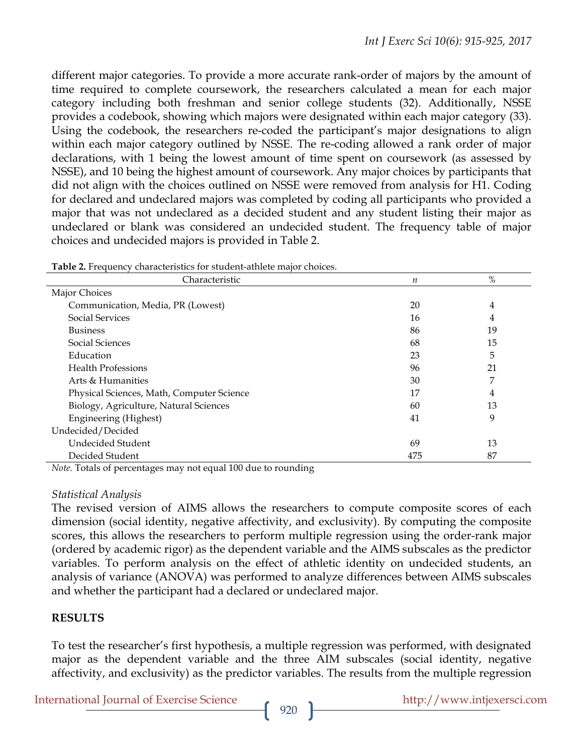different major categories. To provide a more accurate rank-order of majors by the amount of time required to complete coursework, the researchers calculated a mean for each major category including both freshman and senior college students (32). Additionally, NSSE provides a codebook, showing which majors were designated within each major category (33). Using the codebook, the researchers re-coded the participant's major designations to align within each major category outlined by NSSE. The re-coding allowed a rank order of major declarations, with 1 being the lowest amount of time spent on coursework (as assessed by NSSE), and 10 being the highest amount of coursework. Any major choices by participants that did not align with the choices outlined on NSSE were removed from analysis for H1. Coding for declared and undeclared majors was completed by coding all participants who provided a major that was not undeclared as a decided student and any student listing their major as undeclared or blank was considered an undecided student. The frequency table of major choices and undecided majors is provided in Table 2.

| <b>There =</b> Trequency characteristics for station attitude major choices. |                  |      |  |  |  |
|------------------------------------------------------------------------------|------------------|------|--|--|--|
| Characteristic                                                               | $\boldsymbol{n}$ | $\%$ |  |  |  |
| Major Choices                                                                |                  |      |  |  |  |
| Communication, Media, PR (Lowest)                                            | 20               | 4    |  |  |  |
| <b>Social Services</b>                                                       | 16               | 4    |  |  |  |
| <b>Business</b>                                                              | 86               | 19   |  |  |  |
| Social Sciences                                                              | 68               | 15   |  |  |  |
| Education                                                                    | 23               | 5    |  |  |  |
| <b>Health Professions</b>                                                    | 96               | 21   |  |  |  |
| Arts & Humanities                                                            | 30               | 7    |  |  |  |
| Physical Sciences, Math, Computer Science                                    | 17               | 4    |  |  |  |
| Biology, Agriculture, Natural Sciences                                       | 60               | 13   |  |  |  |
| Engineering (Highest)                                                        | 41               | 9    |  |  |  |
| Undecided/Decided                                                            |                  |      |  |  |  |
| Undecided Student                                                            | 69               | 13   |  |  |  |
| Decided Student                                                              | 475              | 87   |  |  |  |

| Table 2. Frequency characteristics for student-athlete major choices. |  |  |  |
|-----------------------------------------------------------------------|--|--|--|
|-----------------------------------------------------------------------|--|--|--|

*Note.* Totals of percentages may not equal 100 due to rounding

#### *Statistical Analysis*

The revised version of AIMS allows the researchers to compute composite scores of each dimension (social identity, negative affectivity, and exclusivity). By computing the composite scores, this allows the researchers to perform multiple regression using the order-rank major (ordered by academic rigor) as the dependent variable and the AIMS subscales as the predictor variables. To perform analysis on the effect of athletic identity on undecided students, an analysis of variance (ANOVA) was performed to analyze differences between AIMS subscales and whether the participant had a declared or undeclared major.

# **RESULTS**

To test the researcher's first hypothesis, a multiple regression was performed, with designated major as the dependent variable and the three AIM subscales (social identity, negative affectivity, and exclusivity) as the predictor variables. The results from the multiple regression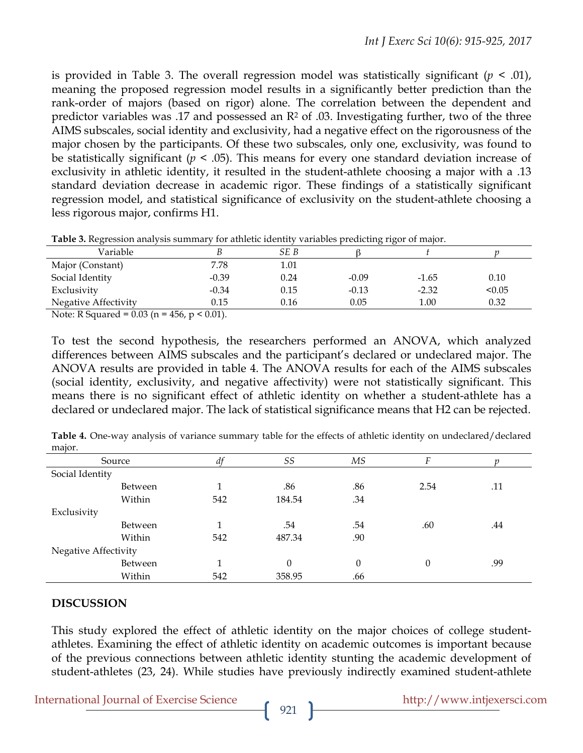is provided in Table 3. The overall regression model was statistically significant  $(p < .01)$ , meaning the proposed regression model results in a significantly better prediction than the rank-order of majors (based on rigor) alone. The correlation between the dependent and predictor variables was .17 and possessed an  $\mathbb{R}^2$  of .03. Investigating further, two of the three AIMS subscales, social identity and exclusivity, had a negative effect on the rigorousness of the major chosen by the participants. Of these two subscales, only one, exclusivity, was found to be statistically significant (*p* < .05). This means for every one standard deviation increase of exclusivity in athletic identity, it resulted in the student-athlete choosing a major with a .13 standard deviation decrease in academic rigor. These findings of a statistically significant regression model, and statistical significance of exclusivity on the student-athlete choosing a less rigorous major, confirms H1.

| Variable                        |         | SE B |         |         |        |
|---------------------------------|---------|------|---------|---------|--------|
| Major (Constant)                | 7.78    | 1.01 |         |         |        |
| Social Identity                 | $-0.39$ | 0.24 | $-0.09$ | $-1.65$ | 0.10   |
| Exclusivity                     | $-0.34$ | 0.15 | $-0.13$ | $-2.32$ | < 0.05 |
| <b>Negative Affectivity</b>     | 0.15    | 0.16 | 0.05    | 1.00    | 0.32   |
| 0.021<br>$\mathbf{v}$<br>$\sim$ | (0.01)  |      |         |         |        |

**Table 3.** Regression analysis summary for athletic identity variables predicting rigor of major.

Note: R Squared =  $0.03$  (n =  $456$ , p <  $0.01$ ).

To test the second hypothesis, the researchers performed an ANOVA, which analyzed differences between AIMS subscales and the participant's declared or undeclared major. The ANOVA results are provided in table 4. The ANOVA results for each of the AIMS subscales (social identity, exclusivity, and negative affectivity) were not statistically significant. This means there is no significant effect of athletic identity on whether a student-athlete has a declared or undeclared major. The lack of statistical significance means that H2 can be rejected.

|                      | Source         | df  | SS       | MS  | Е        |     |
|----------------------|----------------|-----|----------|-----|----------|-----|
| Social Identity      |                |     |          |     |          |     |
|                      | <b>Between</b> | 1   | .86      | .86 | 2.54     | .11 |
|                      | Within         | 542 | 184.54   | .34 |          |     |
| Exclusivity          |                |     |          |     |          |     |
|                      | Between        | 1   | .54      | .54 | .60      | .44 |
|                      | Within         | 542 | 487.34   | .90 |          |     |
| Negative Affectivity |                |     |          |     |          |     |
|                      | Between        | 1   | $\theta$ | 0   | $\theta$ | .99 |
|                      | Within         | 542 | 358.95   | .66 |          |     |

**Table 4.** One-way analysis of variance summary table for the effects of athletic identity on undeclared/declared major.

#### **DISCUSSION**

This study explored the effect of athletic identity on the major choices of college studentathletes. Examining the effect of athletic identity on academic outcomes is important because of the previous connections between athletic identity stunting the academic development of student-athletes (23, 24). While studies have previously indirectly examined student-athlete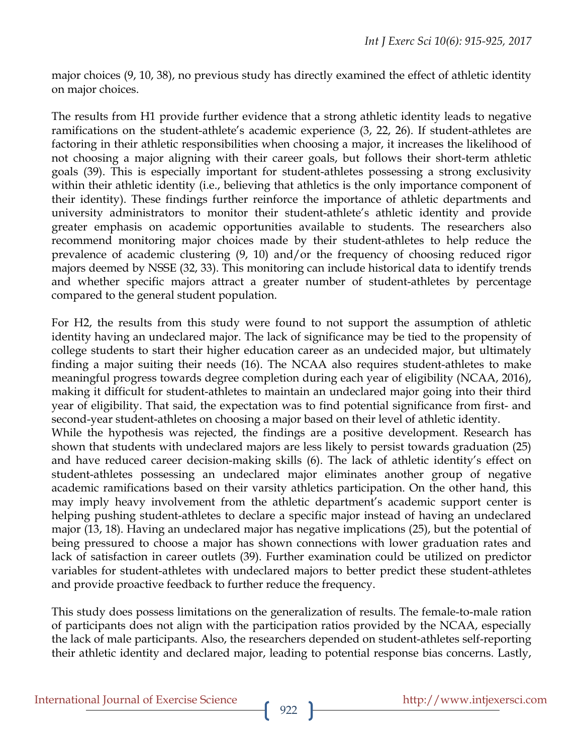major choices (9, 10, 38), no previous study has directly examined the effect of athletic identity on major choices.

The results from H1 provide further evidence that a strong athletic identity leads to negative ramifications on the student-athlete's academic experience (3, 22, 26). If student-athletes are factoring in their athletic responsibilities when choosing a major, it increases the likelihood of not choosing a major aligning with their career goals, but follows their short-term athletic goals (39). This is especially important for student-athletes possessing a strong exclusivity within their athletic identity (i.e., believing that athletics is the only importance component of their identity). These findings further reinforce the importance of athletic departments and university administrators to monitor their student-athlete's athletic identity and provide greater emphasis on academic opportunities available to students. The researchers also recommend monitoring major choices made by their student-athletes to help reduce the prevalence of academic clustering (9, 10) and/or the frequency of choosing reduced rigor majors deemed by NSSE (32, 33). This monitoring can include historical data to identify trends and whether specific majors attract a greater number of student-athletes by percentage compared to the general student population.

For H2, the results from this study were found to not support the assumption of athletic identity having an undeclared major. The lack of significance may be tied to the propensity of college students to start their higher education career as an undecided major, but ultimately finding a major suiting their needs (16). The NCAA also requires student-athletes to make meaningful progress towards degree completion during each year of eligibility (NCAA, 2016), making it difficult for student-athletes to maintain an undeclared major going into their third year of eligibility. That said, the expectation was to find potential significance from first- and second-year student-athletes on choosing a major based on their level of athletic identity.

While the hypothesis was rejected, the findings are a positive development. Research has shown that students with undeclared majors are less likely to persist towards graduation (25) and have reduced career decision-making skills (6). The lack of athletic identity's effect on student-athletes possessing an undeclared major eliminates another group of negative academic ramifications based on their varsity athletics participation. On the other hand, this may imply heavy involvement from the athletic department's academic support center is helping pushing student-athletes to declare a specific major instead of having an undeclared major (13, 18). Having an undeclared major has negative implications (25), but the potential of being pressured to choose a major has shown connections with lower graduation rates and lack of satisfaction in career outlets (39). Further examination could be utilized on predictor variables for student-athletes with undeclared majors to better predict these student-athletes and provide proactive feedback to further reduce the frequency.

This study does possess limitations on the generalization of results. The female-to-male ration of participants does not align with the participation ratios provided by the NCAA, especially the lack of male participants. Also, the researchers depended on student-athletes self-reporting their athletic identity and declared major, leading to potential response bias concerns. Lastly,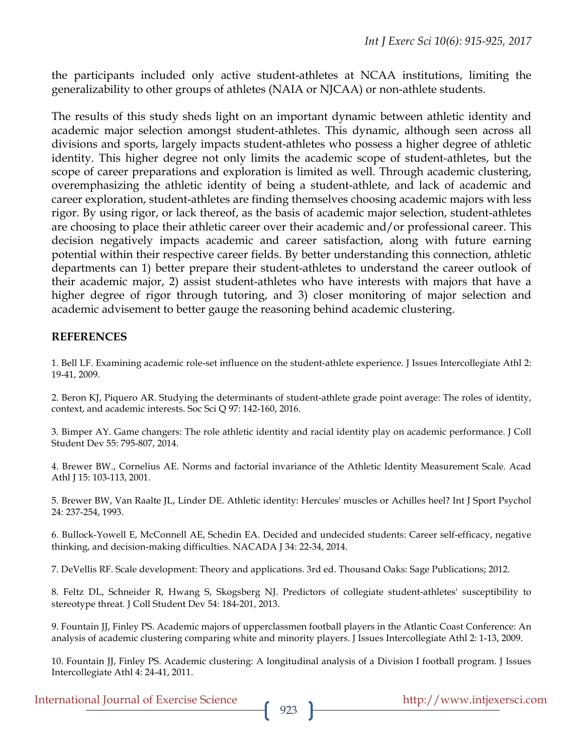the participants included only active student-athletes at NCAA institutions, limiting the generalizability to other groups of athletes (NAIA or NJCAA) or non-athlete students.

The results of this study sheds light on an important dynamic between athletic identity and academic major selection amongst student-athletes. This dynamic, although seen across all divisions and sports, largely impacts student-athletes who possess a higher degree of athletic identity. This higher degree not only limits the academic scope of student-athletes, but the scope of career preparations and exploration is limited as well. Through academic clustering, overemphasizing the athletic identity of being a student-athlete, and lack of academic and career exploration, student-athletes are finding themselves choosing academic majors with less rigor. By using rigor, or lack thereof, as the basis of academic major selection, student-athletes are choosing to place their athletic career over their academic and/or professional career. This decision negatively impacts academic and career satisfaction, along with future earning potential within their respective career fields. By better understanding this connection, athletic departments can 1) better prepare their student-athletes to understand the career outlook of their academic major, 2) assist student-athletes who have interests with majors that have a higher degree of rigor through tutoring, and 3) closer monitoring of major selection and academic advisement to better gauge the reasoning behind academic clustering.

### **REFERENCES**

1. Bell LF. Examining academic role-set influence on the student-athlete experience. J Issues Intercollegiate Athl 2: 19-41, 2009.

2. Beron KJ, Piquero AR. Studying the determinants of student-athlete grade point average: The roles of identity, context, and academic interests. Soc Sci Q 97: 142-160, 2016.

3. Bimper AY. Game changers: The role athletic identity and racial identity play on academic performance. J Coll Student Dev 55: 795-807, 2014.

4. Brewer BW., Cornelius AE. Norms and factorial invariance of the Athletic Identity Measurement Scale. Acad Athl J 15: 103-113, 2001.

5. Brewer BW, Van Raalte JL, Linder DE. Athletic identity: Hercules' muscles or Achilles heel? Int J Sport Psychol 24: 237-254, 1993.

6. Bullock-Yowell E, McConnell AE, Schedin EA. Decided and undecided students: Career self-efficacy, negative thinking, and decision-making difficulties. NACADA J 34: 22-34, 2014.

7. DeVellis RF. Scale development: Theory and applications. 3rd ed. Thousand Oaks: Sage Publications; 2012.

8. Feltz DL, Schneider R, Hwang S, Skogsberg NJ. Predictors of collegiate student-athletes' susceptibility to stereotype threat. J Coll Student Dev 54: 184-201, 2013.

9. Fountain JJ, Finley PS. Academic majors of upperclassmen football players in the Atlantic Coast Conference: An analysis of academic clustering comparing white and minority players. J Issues Intercollegiate Athl 2: 1-13, 2009.

10. Fountain JJ, Finley PS. Academic clustering: A longitudinal analysis of a Division I football program. J Issues Intercollegiate Athl 4: 24-41, 2011.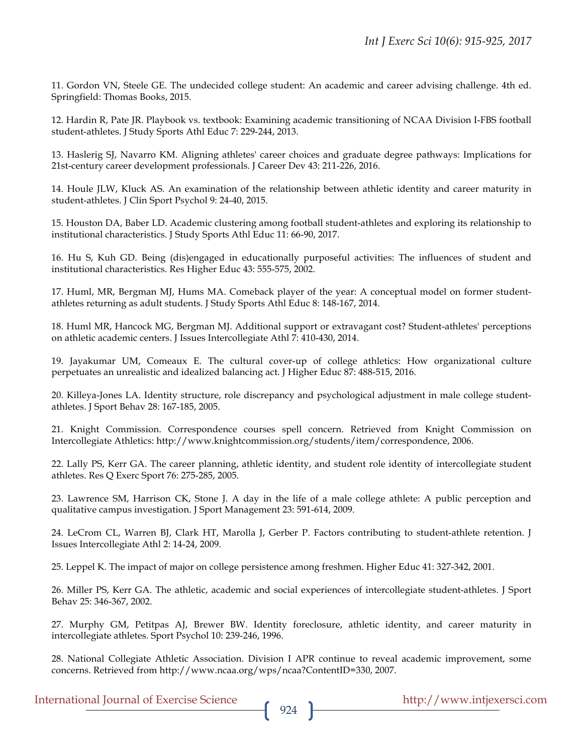11. Gordon VN, Steele GE. The undecided college student: An academic and career advising challenge. 4th ed. Springfield: Thomas Books, 2015.

12. Hardin R, Pate JR. Playbook vs. textbook: Examining academic transitioning of NCAA Division I-FBS football student-athletes. J Study Sports Athl Educ 7: 229-244, 2013.

13. Haslerig SJ, Navarro KM. Aligning athletes' career choices and graduate degree pathways: Implications for 21st-century career development professionals. J Career Dev 43: 211-226, 2016.

14. Houle JLW, Kluck AS. An examination of the relationship between athletic identity and career maturity in student-athletes. J Clin Sport Psychol 9: 24-40, 2015.

15. Houston DA, Baber LD. Academic clustering among football student-athletes and exploring its relationship to institutional characteristics. J Study Sports Athl Educ 11: 66-90, 2017.

16. Hu S, Kuh GD. Being (dis)engaged in educationally purposeful activities: The influences of student and institutional characteristics. Res Higher Educ 43: 555-575, 2002.

17. Huml, MR, Bergman MJ, Hums MA. Comeback player of the year: A conceptual model on former studentathletes returning as adult students. J Study Sports Athl Educ 8: 148-167, 2014.

18. Huml MR, Hancock MG, Bergman MJ. Additional support or extravagant cost? Student-athletes' perceptions on athletic academic centers. J Issues Intercollegiate Athl 7: 410-430, 2014.

19. Jayakumar UM, Comeaux E. The cultural cover-up of college athletics: How organizational culture perpetuates an unrealistic and idealized balancing act. J Higher Educ 87: 488-515, 2016.

20. Killeya-Jones LA. Identity structure, role discrepancy and psychological adjustment in male college studentathletes. J Sport Behav 28: 167-185, 2005.

21. Knight Commission. Correspondence courses spell concern. Retrieved from Knight Commission on Intercollegiate Athletics: http://www.knightcommission.org/students/item/correspondence, 2006.

22. Lally PS, Kerr GA. The career planning, athletic identity, and student role identity of intercollegiate student athletes. Res Q Exerc Sport 76: 275-285, 2005.

23. Lawrence SM, Harrison CK, Stone J. A day in the life of a male college athlete: A public perception and qualitative campus investigation. J Sport Management 23: 591-614, 2009.

24. LeCrom CL, Warren BJ, Clark HT, Marolla J, Gerber P. Factors contributing to student-athlete retention. J Issues Intercollegiate Athl 2: 14-24, 2009.

25. Leppel K. The impact of major on college persistence among freshmen. Higher Educ 41: 327-342, 2001.

26. Miller PS, Kerr GA. The athletic, academic and social experiences of intercollegiate student-athletes. J Sport Behav 25: 346-367, 2002.

27. Murphy GM, Petitpas AJ, Brewer BW. Identity foreclosure, athletic identity, and career maturity in intercollegiate athletes. Sport Psychol 10: 239-246, 1996.

28. National Collegiate Athletic Association. Division I APR continue to reveal academic improvement, some concerns. Retrieved from http://www.ncaa.org/wps/ncaa?ContentID=330, 2007.